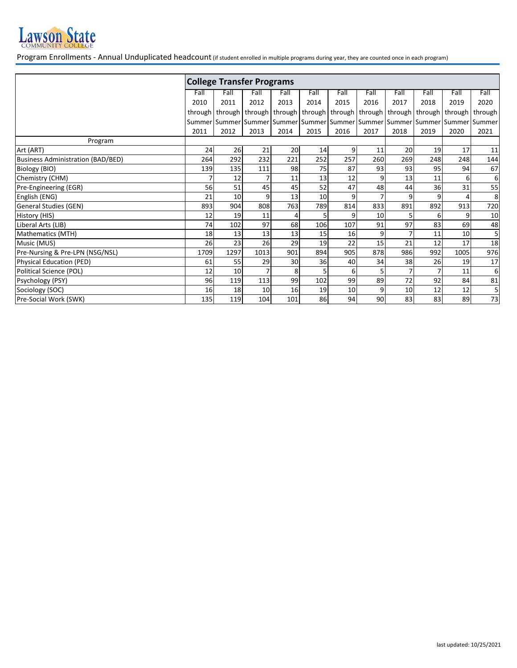

Program Enrollments - Annual Unduplicated headcount (if student enrolled in multiple programs during year, they are counted once in each program)

| Fall<br>2020                                                                                                                                                          |
|-----------------------------------------------------------------------------------------------------------------------------------------------------------------------|
|                                                                                                                                                                       |
|                                                                                                                                                                       |
|                                                                                                                                                                       |
| through                                                                                                                                                               |
| Summer   Summer   Summer   Summer   Summer   Summer   Summer   Summer   Summer   Summer                                                                               |
| 2021                                                                                                                                                                  |
|                                                                                                                                                                       |
| 11                                                                                                                                                                    |
| 144                                                                                                                                                                   |
| 67                                                                                                                                                                    |
| 6                                                                                                                                                                     |
| 55                                                                                                                                                                    |
| 8                                                                                                                                                                     |
| 720                                                                                                                                                                   |
| 10                                                                                                                                                                    |
| 48                                                                                                                                                                    |
| 5                                                                                                                                                                     |
| 18                                                                                                                                                                    |
| 976                                                                                                                                                                   |
| 17                                                                                                                                                                    |
| 6                                                                                                                                                                     |
| 81                                                                                                                                                                    |
| 5                                                                                                                                                                     |
| 73                                                                                                                                                                    |
| through   through   through   through   through   through  <br>2020<br>17<br>248<br>94<br>6<br>31<br>913<br>9<br>69<br>10<br>17<br>1005<br>19<br>11<br>84<br>12<br>89 |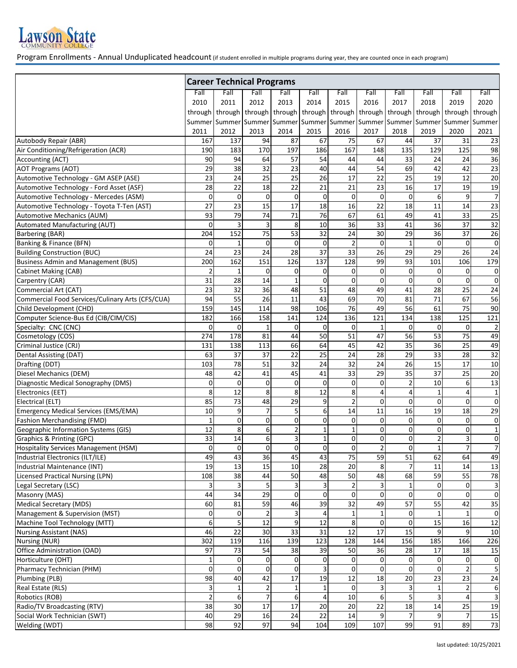

Program Enrollments - Annual Unduplicated headcount (if student enrolled in multiple programs during year, they are counted once in each program)

|                                                  | <b>Career Technical Programs</b> |                      |                 |                                       |             |                                  |                      |                         |                      |                   |                   |  |
|--------------------------------------------------|----------------------------------|----------------------|-----------------|---------------------------------------|-------------|----------------------------------|----------------------|-------------------------|----------------------|-------------------|-------------------|--|
|                                                  | Fall                             | Fall                 | Fall            | Fall                                  | Fall        | Fall                             | Fall                 | Fall                    | Fall                 | Fall              | Fall              |  |
|                                                  | 2010                             | 2011                 | 2012            | 2013                                  | 2014        | 2015                             | 2016                 | 2017                    | 2018                 | 2019              | 2020              |  |
|                                                  | through                          |                      |                 | through   through   through   through |             |                                  | through   through    | through                 | through              | through           | through           |  |
|                                                  | Summer                           | Summer Summer Summer |                 |                                       |             |                                  | Summer Summer Summer |                         | Summer Summer Summer |                   | Summer            |  |
|                                                  | 2011                             | 2012                 | 2013            | 2014                                  | 2015        | 2016                             | 2017                 | 2018                    | 2019                 | 2020              | 2021              |  |
| Autobody Repair (ABR)                            | 167                              | 137                  | 94              | 87                                    | 67          | 75                               | 67                   | 44                      | 37                   | 31                | 23                |  |
| Air Conditioning/Refrigeration (ACR)             | 190                              | 183                  | 170             | 197                                   | 186         | 167                              | 148                  | 135                     | 129                  | 125               | 98                |  |
| Accounting (ACT)                                 | 90                               | 94                   | 64              | 57                                    | 54          | 44                               | 44                   | 33                      | 24                   | 24                | 36                |  |
| <b>AOT Programs (AOT)</b>                        | 29                               | 38                   | 32              | $\overline{23}$                       | 40          | 44                               | 54                   | 69                      | 42                   | 42                | 23                |  |
| Automotive Technology - GM ASEP (ASE)            | 23                               | 24                   | 25              | 25                                    | 26          | 17                               | 22                   | 25                      | 19                   | 12                | 20                |  |
| Automotive Technology - Ford Asset (ASF)         | 28                               | 22                   | 18              | 22                                    | 21          | 21                               | 23                   | 16                      | 17                   | 19                | 19                |  |
| Automotive Technology - Mercedes (ASM)           | 0                                | $\pmb{0}$            | $\pmb{0}$       | $\mathbf 0$                           | $\mathbf 0$ | 0                                | $\pmb{0}$            | $\mathbf 0$             | 6                    | 9                 | $\overline{7}$    |  |
| Automotive Technology - Toyota T-Ten (AST)       | $\overline{27}$                  | $\overline{23}$      | $\overline{15}$ | 17                                    | 18          | 16                               | $\overline{22}$      | $\overline{18}$         | 11                   | 14                | 23                |  |
| <b>Automotive Mechanics (AUM)</b>                | 93                               | 79                   | 74              | 71                                    | 76          | 67                               | 61                   | 49                      | 41                   | 33                | 25                |  |
| Automated Manufacturing (AUT)                    | 0                                | 3                    | $\mathsf 3$     | 8                                     | 10          | 36                               | 33                   | 41                      | 36                   | 37                | 32                |  |
| <b>Barbering (BAR)</b>                           | 204                              | 152                  | 75              | 53                                    | 32          | 24                               | 30                   | 29                      | 36                   | 37                | 26                |  |
| Banking & Finance (BFN)                          | 0                                | $\mathbf{1}$         | 0               | $\Omega$                              | $\mathbf 0$ | $\overline{2}$                   | $\mathbf 0$          | $\mathbf{1}$            | $\mathbf 0$          | $\Omega$          | 0                 |  |
| <b>Building Construction (BUC)</b>               | 24                               | 23                   | 24              | 28                                    | 37          | 33                               | 26                   | 29                      | 29                   | 26                | 24                |  |
| <b>Business Admin and Management (BUS)</b>       | 200                              | 162                  | 151             | 126                                   | 137         | 128                              | 99                   | 93                      | 101                  | 106               | 179               |  |
| <b>Cabinet Making (CAB)</b>                      | $\overline{2}$                   | $\mathbf{1}$         | 0               | 0                                     | 0           | 0                                | 0                    | $\mathbf 0$             | $\mathbf 0$          | 0                 | 0                 |  |
| Carpentry (CAR)                                  | 31                               | 28                   | 14              |                                       | $\Omega$    | $\mathbf 0$                      | $\mathbf 0$          | $\mathbf 0$             | 0                    | $\Omega$          | 0                 |  |
| Commercial Art (CAT)                             | 23                               | 32                   | 36              | 48                                    | 51          | 48                               | 49                   | 41                      | 28                   | 25                | 24                |  |
| Commercial Food Services/Culinary Arts (CFS/CUA) | 94                               | 55                   | 26              | 11                                    | 43          | 69                               | 70                   | 81                      | 71                   | 67                | 56                |  |
| Child Development (CHD)                          | 159                              | 145                  | 114             | 98                                    | 106         | 76                               | 49                   | 56                      | 61                   | 75                | 90                |  |
| Computer Science-Bus Ed (CIB/CIM/CIS)            | 182                              | 166                  | 158             | 141                                   | 124         | 136                              | 121                  | 134                     | 138                  | 125               | 121               |  |
| Specialty: CNC (CNC)                             | 0                                | 0                    | $\mathbf{1}$    | 0                                     | 0           | 0                                | 1                    | $\mathbf 0$             | $\mathbf 0$          | 0                 | $\overline{2}$    |  |
| Cosmetology (COS)                                | 274                              | 178                  | 81              | 44                                    | 50          | $\overline{51}$                  | 47                   | 56                      | 53                   | 75                | 49                |  |
| Criminal Justice (CRJ)                           | 131                              | 138                  | 113             | 66                                    | 64          | 45                               | 42                   | 35                      | 36                   | 25                | 49                |  |
| Dental Assisting (DAT)                           | 63                               | 37                   | 37              | 22                                    | 25          | 24                               | 28                   | 29                      | 33                   | 28                | 32                |  |
| Drafting (DDT)                                   | 103                              | 78                   | 51              | 32                                    | 24          | 32                               | 24                   | 26                      | 15                   | 17                | 10                |  |
| Diesel Mechanics (DEM)                           | 48                               | 42                   | 41              | 45                                    | 41          | 33                               | 29                   | $\overline{35}$         | $\overline{37}$      | $\overline{25}$   | 20                |  |
| Diagnostic Medical Sonography (DMS)              | 0                                | $\mathbf 0$          | 0               | 0                                     | $\mathbf 0$ | 0                                | 0                    | $\overline{\mathbf{c}}$ | 10                   | 6                 | 13                |  |
| Electronics (EET)                                | 8                                | 12                   | 8               | 8                                     | 12          | 8                                | 4                    | 4                       |                      |                   | $\mathbf{1}$      |  |
| Electrical (ELT)                                 | 85                               | 73                   | 48              | 29                                    | 9           | $\overline{2}$                   | $\mathbf 0$          | $\mathbf 0$             | $\mathbf 0$          | $\Omega$          | $\pmb{0}$         |  |
| <b>Emergency Medical Services (EMS/EMA)</b>      | 10                               | 9                    | $\overline{7}$  | 5                                     | 6           | 14                               | 11                   | 16                      | 19                   | 18                | 29                |  |
| <b>Fashion Merchandising (FMD)</b>               | $\mathbf{1}$                     | $\mathbf 0$          | 0               | $\Omega$                              | $\Omega$    | 0                                | 0                    | 0                       | $\mathbf 0$          | 0                 | $\mathbf 0$       |  |
| Geographic Information Systems (GIS)             | 12                               | 8                    | 6               | $\overline{2}$                        | 1           | $\mathbf 1$                      | $\mathbf 0$          | 0                       | $\pmb{0}$            | $\mathbf{0}$      | $\mathbf 1$       |  |
| Graphics & Printing (GPC)                        | 33                               | 14                   | 6               | 3                                     | 1           | $\mathbf 0$                      | 0                    | 0                       | $\mathbf 2$          | 3                 | 0                 |  |
| <b>Hospitality Services Management (HSM)</b>     | 0                                | 0                    | 0               | $\mathbf 0$                           | 0           | $\mathbf 0$                      | $\overline{2}$       | 0                       | 1                    | $\overline{7}$    | $\overline{7}$    |  |
| Industrial Electronics (ILT/ILE)                 | 49                               | 43                   | 36              | 45                                    | 43          | 75                               | 59                   | 51                      | 62                   | 64                | 49                |  |
| Industrial Maintenance (INT)                     | 19                               | 13                   | 15              | 10                                    | 28          | 20                               | 8                    | $\overline{7}$          | 11                   | 14                | 13                |  |
| <b>Licensed Practical Nursing (LPN)</b>          | 108<br>3                         | 38                   | 44              | 50<br>3                               | 48          | 50                               | 48                   | 68                      | 59<br>$\mathbf 0$    | 55<br>$\mathbf 0$ | 78                |  |
| Legal Secretary (LSC)<br>Masonry (MAS)           | 44                               | $\mathsf 3$<br>34    | 5<br>29         | $\mathbf 0$                           | $\mathbf 0$ | $\overline{2}$<br>$\overline{0}$ | 3<br>$\mathbf 0$     | 1<br>$\mathbf 0$        | $\mathbf{O}$         | $\Omega$          | 3<br>$\pmb{0}$    |  |
| <b>Medical Secretary (MDS)</b>                   | 60                               | 81                   | 59              | 46                                    | 39          | $\overline{32}$                  | 49                   | 57                      | 55                   | 42                | 35                |  |
| Management & Supervision (MST)                   | 0                                | 0                    | $\overline{2}$  |                                       |             | $\mathbf{1}$                     | 1                    | 0                       |                      |                   | 0                 |  |
| Machine Tool Technology (MTT)                    | 6                                | 5                    | 12              | 9                                     | 12          | 8                                | 0                    | $\mathbf 0$             | 15                   | 16                | $12\,$            |  |
| <b>Nursing Assistant (NAS)</b>                   | 46                               | 22                   | 30              | 33                                    | 31          | 12                               | 17                   | 15                      | 9                    | 9                 | 10                |  |
| Nursing (NUR)                                    | 302                              | 119                  | 116             | 139                                   | 123         | 128                              | 144                  | 156                     | 185                  | 166               | 226               |  |
| Office Administration (OAD)                      | 97                               | 73                   | 54              | 38                                    | 39          | 50                               | 36                   | 28                      | 17                   | 18                |                   |  |
| Horticulture (OHT)                               | $\mathbf 1$                      | 0                    | 0               | $\mathbf 0$                           | 0           | $\overline{0}$                   | 0                    | $\mathbf 0$             | 0                    | 0                 | 15<br>$\mathsf 0$ |  |
| Pharmacy Technician (PHM)                        | 0                                | $\Omega$             | $\pmb{0}$       | 0                                     |             | $\overline{0}$                   | 0                    | $\mathbf 0$             | $\mathbf 0$          |                   | 5                 |  |
| Plumbing (PLB)                                   | 98                               | 40                   | 42              | 17                                    | 19          | 12                               | 18                   | 20                      | 23                   | 23                | 24                |  |
| Real Estate (RLS)                                | 3                                | $\mathbf{1}$         | $\overline{2}$  | 1                                     |             | 0                                | 3                    | 3                       | $\mathbf{1}$         |                   | 6                 |  |
| Robotics (ROB)                                   | $\overline{2}$                   | 6                    | $\overline{7}$  | 6                                     |             | 10                               | 6                    | 5                       | 3                    |                   | $\mathsf 3$       |  |
| Radio/TV Broadcasting (RTV)                      | 38                               | 30                   | $\overline{17}$ | $\overline{17}$                       | 20          | 20                               | $\overline{22}$      | $\overline{18}$         | $\overline{14}$      | 25                | 19                |  |
| Social Work Technician (SWT)                     | 40                               | 29                   | 16              | 24                                    | 22          | 14                               | 9                    | $\overline{7}$          | 9                    |                   | 15                |  |
| Welding (WDT)                                    | 98                               | 92                   | 97              | 94                                    | 104         | 109                              | 107                  | 99                      | 91                   | 89                | 73                |  |
|                                                  |                                  |                      |                 |                                       |             |                                  |                      |                         |                      |                   |                   |  |